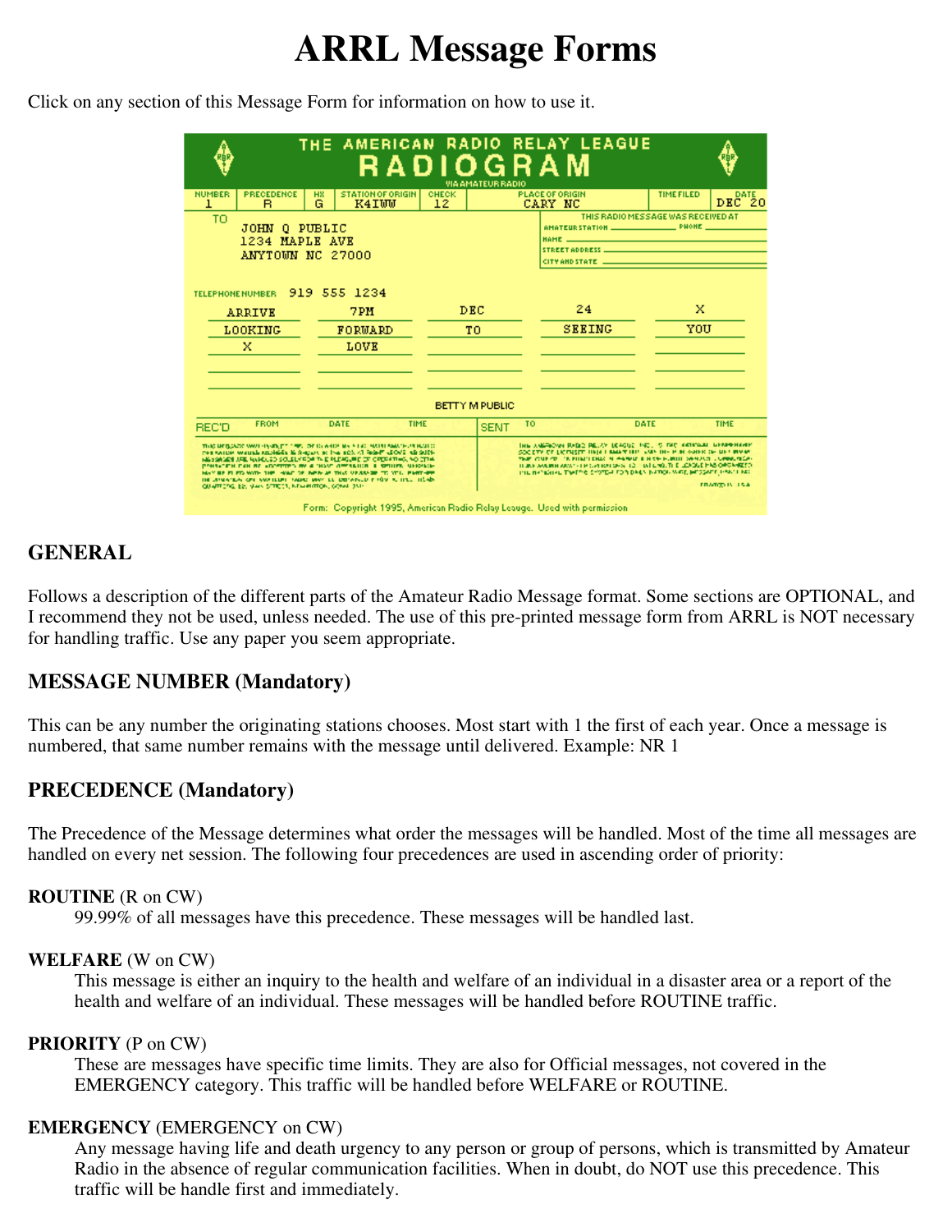# **ARRL Message Forms**

Click on any section of this Message Form for information on how to use it.

|                         |                                                        |                                      | THE AMERICAN RADIO RELAY LEAGUE<br>RADIOGRAM                                                                                                                                                                                                                                                                                                                                                                                                            |                                   | <b>VIA AMATEUR RADIO</b> |                                   |                                                                                                                                                                                                                                                                                                                                                                            |                   |                       |  |  |
|-------------------------|--------------------------------------------------------|--------------------------------------|---------------------------------------------------------------------------------------------------------------------------------------------------------------------------------------------------------------------------------------------------------------------------------------------------------------------------------------------------------------------------------------------------------------------------------------------------------|-----------------------------------|--------------------------|-----------------------------------|----------------------------------------------------------------------------------------------------------------------------------------------------------------------------------------------------------------------------------------------------------------------------------------------------------------------------------------------------------------------------|-------------------|-----------------------|--|--|
| <b>NUMBER</b><br>1      | PRECEDENCE<br>в.                                       | <b>HX</b><br>G                       | <b>STATION OF ORIGIN</b><br>K4IWW                                                                                                                                                                                                                                                                                                                                                                                                                       | <b>CHECK</b><br>$12 \overline{ }$ |                          | <b>PLACE OF ORIGIN</b><br>CARY NC |                                                                                                                                                                                                                                                                                                                                                                            | <b>TIME FILED</b> | DEC <sup>ATE</sup> 20 |  |  |
| TO                      | 0 PUBLIC<br>JOHN<br>1234 MAPLE AVE<br>ANYTOWN NC 27000 | CITY AND STATE <b>And CONSTRUCTS</b> | THIS RADIO MESSAGE WAS RECEIVED AT                                                                                                                                                                                                                                                                                                                                                                                                                      |                                   |                          |                                   |                                                                                                                                                                                                                                                                                                                                                                            |                   |                       |  |  |
| <b>TELEPHONE NUMBER</b> |                                                        |                                      | 919 555 1234                                                                                                                                                                                                                                                                                                                                                                                                                                            |                                   |                          |                                   |                                                                                                                                                                                                                                                                                                                                                                            |                   |                       |  |  |
| <b>ARRIVE</b>           |                                                        |                                      | DEC<br>7PH                                                                                                                                                                                                                                                                                                                                                                                                                                              |                                   |                          | 24                                |                                                                                                                                                                                                                                                                                                                                                                            | x                 |                       |  |  |
| <b>LOOKING</b>          |                                                        |                                      | FORWARD                                                                                                                                                                                                                                                                                                                                                                                                                                                 | тo                                |                          |                                   | <b>SEEING</b>                                                                                                                                                                                                                                                                                                                                                              |                   | YOU                   |  |  |
|                         | x                                                      |                                      | LOVE                                                                                                                                                                                                                                                                                                                                                                                                                                                    |                                   |                          |                                   |                                                                                                                                                                                                                                                                                                                                                                            |                   |                       |  |  |
| <b>BETTY M PUBLIC</b>   |                                                        |                                      |                                                                                                                                                                                                                                                                                                                                                                                                                                                         |                                   |                          |                                   |                                                                                                                                                                                                                                                                                                                                                                            |                   |                       |  |  |
| <b>REC'D</b>            | <b>FROM</b>                                            |                                      | DATE<br>TIME                                                                                                                                                                                                                                                                                                                                                                                                                                            |                                   | <b>SENT</b>              | TO:                               |                                                                                                                                                                                                                                                                                                                                                                            | DATE              | TIME                  |  |  |
|                         | QUARTERS, ES, VAIN STREET, NEWMARKS, CONN. 351-        |                                      | THIS MESSAGE WAS REPORTED THE ORDER AND THE FEMALE MATHEMATIC HAS LOT<br>FOR SAIDE WALLAS REGISTER IS SHOWN TO THE BOX 47 RIGHT LEOVE AS SUPP<br>NA SANADI URA NANCUSO SOLALMADA TA E PLENGURE DE ORDERTING, NO ETHA<br>PORTECTIVE CAN BE ACCOUNTED BY A "HOUT OFFICIALISM IN COLLEGE, MARCHAIN-<br>MAY BE FLETA WITH THE HAND OF BEIN AS THIS VERBAND, TO YOU, FART-BEE<br>THE UNIVERSITY OF EVALUATION CAME MAY BE DRIVING A COVID-TO HE TELL THE ADV |                                   |                          |                                   | THIS ANGEROVE RADIO RELAY DEACHE THE . 5 THE NATIONAL LIFTANTHAMP<br>SOCETY OF EXCITATION IN BARK OFFICERS HE WAS SHOWN OF HELION WAS<br>THE CURRENT IN FINITENDS IN ANNUAL HISTORICAL DIVISION CONSUMING.<br>THERE WAS IMPOUNDED FOR CAPITOLOGY (12) THAT CHIEF OUT IT LEADER IN NO OP CAMPER TO<br>INCLUSIVE THE THE THE SYSTEM FOR DAILY INFORMATE HE SEATTLE HAVE LAST |                   | <b>EDAMOD IN TRA</b>  |  |  |
|                         |                                                        |                                      | Form: Copyright 1995, American Radio Relay Leauge. Used with permission                                                                                                                                                                                                                                                                                                                                                                                 |                                   |                          |                                   |                                                                                                                                                                                                                                                                                                                                                                            |                   |                       |  |  |

# **GENERAL**

Follows a description of the different parts of the Amateur Radio Message format. Some sections are OPTIONAL, and I recommend they not be used, unless needed. The use of this pre-printed message form from ARRL is NOT necessary for handling traffic. Use any paper you seem appropriate.

# **MESSAGE NUMBER (Mandatory)**

This can be any number the originating stations chooses. Most start with 1 the first of each year. Once a message is numbered, that same number remains with the message until delivered. Example: NR 1

# **PRECEDENCE (Mandatory)**

The Precedence of the Message determines what order the messages will be handled. Most of the time all messages are handled on every net session. The following four precedences are used in ascending order of priority:

#### **ROUTINE** (R on CW)

99.99% of all messages have this precedence. These messages will be handled last.

#### **WELFARE** (W on CW)

This message is either an inquiry to the health and welfare of an individual in a disaster area or a report of the health and welfare of an individual. These messages will be handled before ROUTINE traffic.

#### **PRIORITY** (P on CW)

These are messages have specific time limits. They are also for Official messages, not covered in the EMERGENCY category. This traffic will be handled before WELFARE or ROUTINE.

#### **EMERGENCY** (EMERGENCY on CW)

Any message having life and death urgency to any person or group of persons, which is transmitted by Amateur Radio in the absence of regular communication facilities. When in doubt, do NOT use this precedence. This traffic will be handle first and immediately.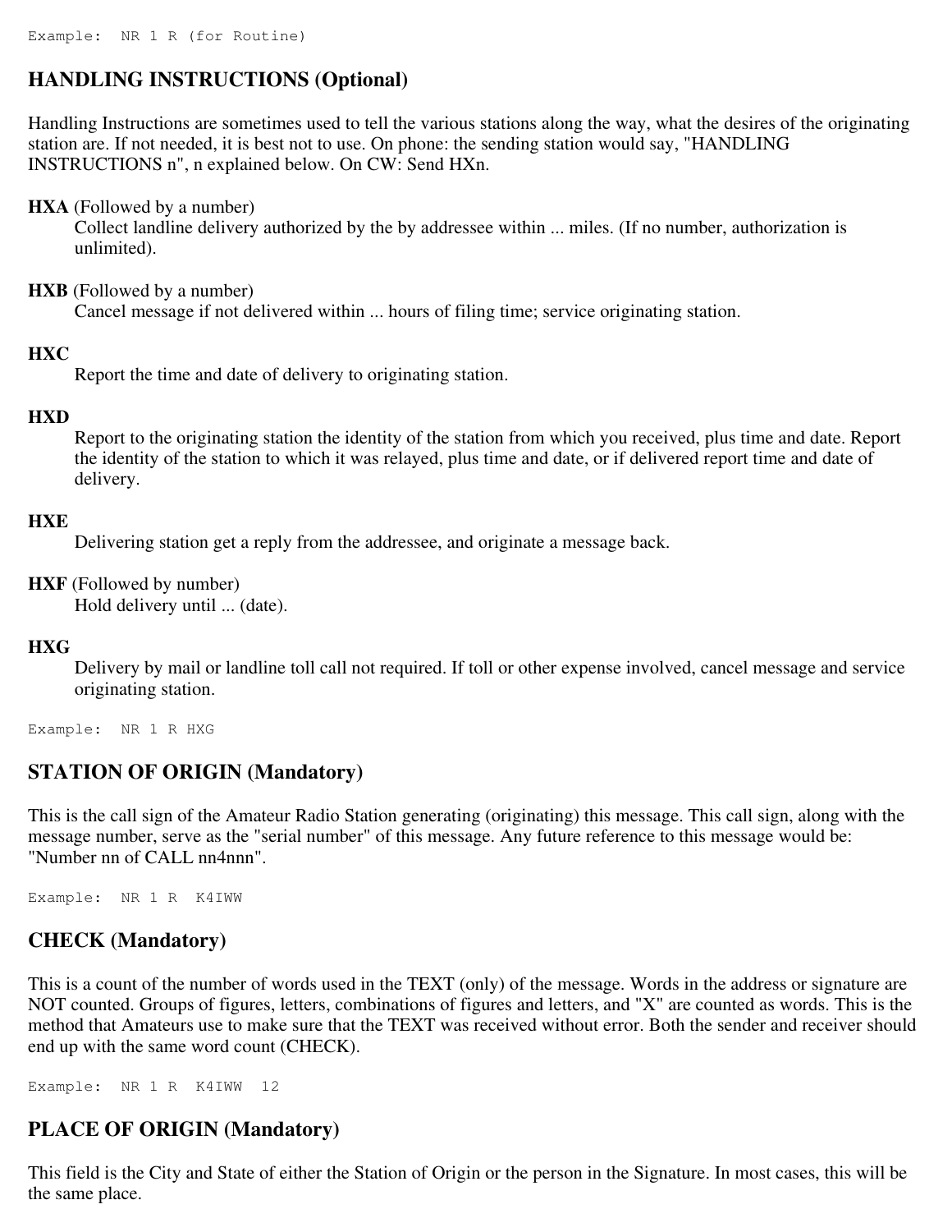# **HANDLING INSTRUCTIONS (Optional)**

Handling Instructions are sometimes used to tell the various stations along the way, what the desires of the originating station are. If not needed, it is best not to use. On phone: the sending station would say, "HANDLING INSTRUCTIONS n", n explained below. On CW: Send HXn.

#### **HXA** (Followed by a number)

Collect landline delivery authorized by the by addressee within ... miles. (If no number, authorization is unlimited).

#### **HXB** (Followed by a number)

Cancel message if not delivered within ... hours of filing time; service originating station.

#### **HXC**

Report the time and date of delivery to originating station.

### **HXD**

Report to the originating station the identity of the station from which you received, plus time and date. Report the identity of the station to which it was relayed, plus time and date, or if delivered report time and date of delivery.

#### **HXE**

Delivering station get a reply from the addressee, and originate a message back.

**HXF** (Followed by number)

Hold delivery until ... (date).

#### **HXG**

Delivery by mail or landline toll call not required. If toll or other expense involved, cancel message and service originating station.

Example: NR 1 R HXG

# **STATION OF ORIGIN (Mandatory)**

This is the call sign of the Amateur Radio Station generating (originating) this message. This call sign, along with the message number, serve as the "serial number" of this message. Any future reference to this message would be: "Number nn of CALL nn4nnn".

Example: NR 1 R K4IWW

# **CHECK (Mandatory)**

This is a count of the number of words used in the TEXT (only) of the message. Words in the address or signature are NOT counted. Groups of figures, letters, combinations of figures and letters, and "X" are counted as words. This is the method that Amateurs use to make sure that the TEXT was received without error. Both the sender and receiver should end up with the same word count (CHECK).

Example: NR 1 R K4IWW 12

# **PLACE OF ORIGIN (Mandatory)**

This field is the City and State of either the Station of Origin or the person in the Signature. In most cases, this will be the same place.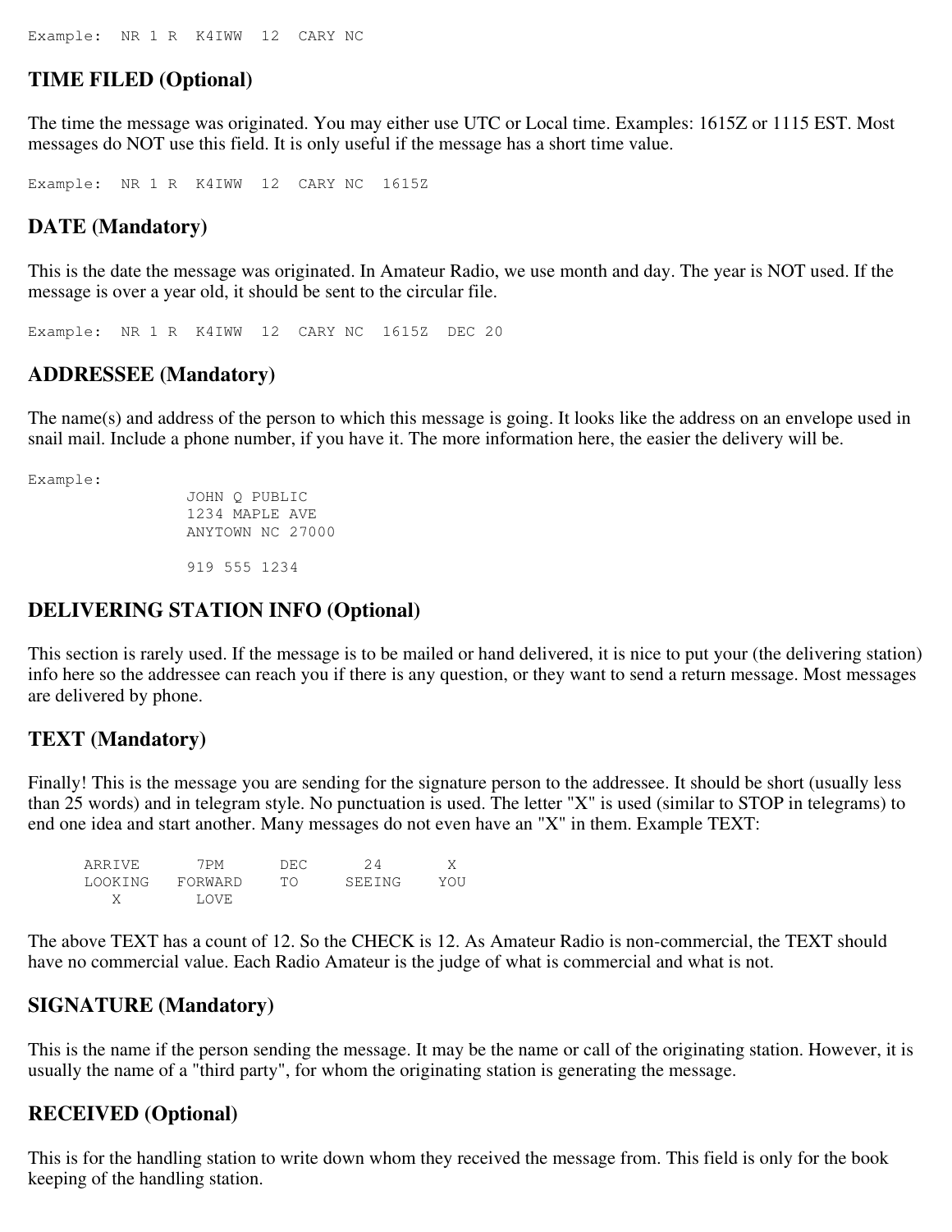## **TIME FILED (Optional)**

The time the message was originated. You may either use UTC or Local time. Examples: 1615Z or 1115 EST. Most messages do NOT use this field. It is only useful if the message has a short time value.

Example: NR 1 R K4IWW 12 CARY NC 1615Z

## **DATE (Mandatory)**

This is the date the message was originated. In Amateur Radio, we use month and day. The year is NOT used. If the message is over a year old, it should be sent to the circular file.

Example: NR 1 R K4IWW 12 CARY NC 1615Z DEC 20

## **ADDRESSEE (Mandatory)**

The name(s) and address of the person to which this message is going. It looks like the address on an envelope used in snail mail. Include a phone number, if you have it. The more information here, the easier the delivery will be.

Example:

```
 JOHN Q PUBLIC 
1234 MAPLE AVE 
ANYTOWN NC 27000 
919 555 1234
```
## **DELIVERING STATION INFO (Optional)**

This section is rarely used. If the message is to be mailed or hand delivered, it is nice to put your (the delivering station) info here so the addressee can reach you if there is any question, or they want to send a return message. Most messages are delivered by phone.

## **TEXT (Mandatory)**

Finally! This is the message you are sending for the signature person to the addressee. It should be short (usually less than 25 words) and in telegram style. No punctuation is used. The letter "X" is used (similar to STOP in telegrams) to end one idea and start another. Many messages do not even have an "X" in them. Example TEXT:

| ARRIVE  | 7 PM    | DEC |        |     |
|---------|---------|-----|--------|-----|
| LOOKING | FORWARD | TO. | SEEING | YOU |
|         | LOVE.   |     |        |     |

The above TEXT has a count of 12. So the CHECK is 12. As Amateur Radio is non-commercial, the TEXT should have no commercial value. Each Radio Amateur is the judge of what is commercial and what is not.

## **SIGNATURE (Mandatory)**

This is the name if the person sending the message. It may be the name or call of the originating station. However, it is usually the name of a "third party", for whom the originating station is generating the message.

## **RECEIVED (Optional)**

This is for the handling station to write down whom they received the message from. This field is only for the book keeping of the handling station.